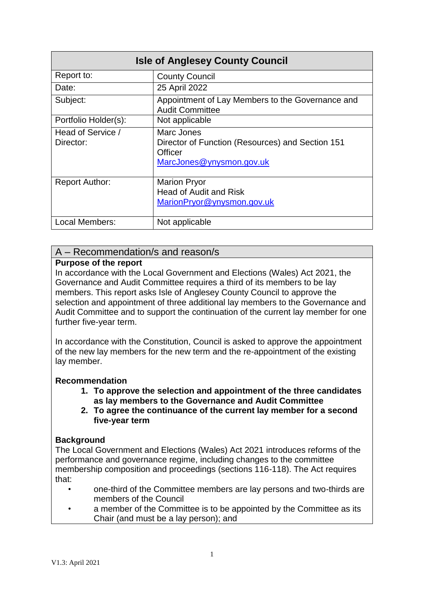| <b>Isle of Anglesey County Council</b> |                                                                                                       |  |  |  |
|----------------------------------------|-------------------------------------------------------------------------------------------------------|--|--|--|
| Report to:                             | <b>County Council</b>                                                                                 |  |  |  |
| Date:                                  | 25 April 2022                                                                                         |  |  |  |
| Subject:                               | Appointment of Lay Members to the Governance and<br><b>Audit Committee</b>                            |  |  |  |
| Portfolio Holder(s):                   | Not applicable                                                                                        |  |  |  |
| Head of Service /<br>Director:         | Marc Jones<br>Director of Function (Resources) and Section 151<br>Officer<br>MarcJones@ynysmon.gov.uk |  |  |  |
| <b>Report Author:</b>                  | <b>Marion Pryor</b><br><b>Head of Audit and Risk</b><br>MarionPryor@ynysmon.gov.uk                    |  |  |  |
| <b>Local Members:</b>                  | Not applicable                                                                                        |  |  |  |

### A – Recommendation/s and reason/s

#### **Purpose of the report**

In accordance with the Local Government and Elections (Wales) Act 2021, the Governance and Audit Committee requires a third of its members to be lay members. This report asks Isle of Anglesey County Council to approve the selection and appointment of three additional lay members to the Governance and Audit Committee and to support the continuation of the current lay member for one further five-year term.

In accordance with the Constitution, Council is asked to approve the appointment of the new lay members for the new term and the re-appointment of the existing lay member.

#### **Recommendation**

- **1. To approve the selection and appointment of the three candidates as lay members to the Governance and Audit Committee**
- **2. To agree the continuance of the current lay member for a second five-year term**

#### **Background**

The Local Government and Elections (Wales) Act 2021 introduces reforms of the performance and governance regime, including changes to the committee membership composition and proceedings (sections 116-118). The Act requires that:

- one-third of the Committee members are lay persons and two-thirds are members of the Council
- a member of the Committee is to be appointed by the Committee as its Chair (and must be a lay person); and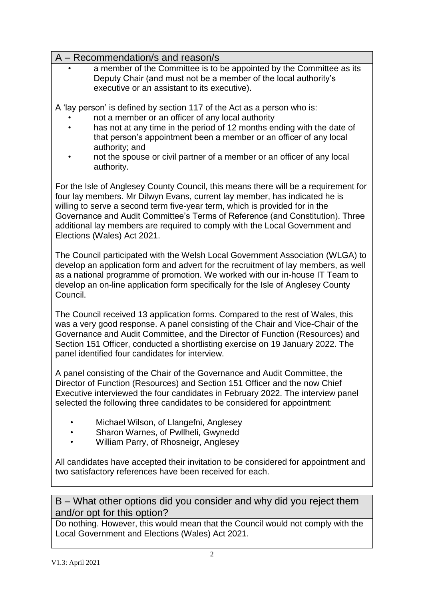## A – Recommendation/s and reason/s

• a member of the Committee is to be appointed by the Committee as its Deputy Chair (and must not be a member of the local authority's executive or an assistant to its executive).

A 'lay person' is defined by section 117 of the Act as a person who is:

- not a member or an officer of any local authority
- has not at any time in the period of 12 months ending with the date of that person's appointment been a member or an officer of any local authority; and
- not the spouse or civil partner of a member or an officer of any local authority.

For the Isle of Anglesey County Council, this means there will be a requirement for four lay members. Mr Dilwyn Evans, current lay member, has indicated he is willing to serve a second term five-year term, which is provided for in the Governance and Audit Committee's Terms of Reference (and Constitution). Three additional lay members are required to comply with the Local Government and Elections (Wales) Act 2021.

The Council participated with the Welsh Local Government Association (WLGA) to develop an application form and advert for the recruitment of lay members, as well as a national programme of promotion. We worked with our in-house IT Team to develop an on-line application form specifically for the Isle of Anglesey County Council.

The Council received 13 application forms. Compared to the rest of Wales, this was a very good response. A panel consisting of the Chair and Vice-Chair of the Governance and Audit Committee, and the Director of Function (Resources) and Section 151 Officer, conducted a shortlisting exercise on 19 January 2022. The panel identified four candidates for interview.

A panel consisting of the Chair of the Governance and Audit Committee, the Director of Function (Resources) and Section 151 Officer and the now Chief Executive interviewed the four candidates in February 2022. The interview panel selected the following three candidates to be considered for appointment:

- Michael Wilson, of Llangefni, Anglesey
- Sharon Warnes, of Pwllheli, Gwynedd
- William Parry, of Rhosneigr, Anglesey

All candidates have accepted their invitation to be considered for appointment and two satisfactory references have been received for each.

B – What other options did you consider and why did you reject them and/or opt for this option?

Do nothing. However, this would mean that the Council would not comply with the Local Government and Elections (Wales) Act 2021.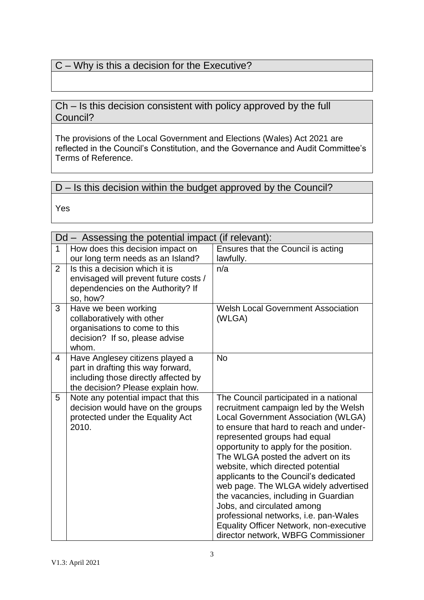# C – Why is this a decision for the Executive?

## Ch – Is this decision consistent with policy approved by the full Council?

The provisions of the Local Government and Elections (Wales) Act 2021 are reflected in the Council's Constitution, and the Governance and Audit Committee's Terms of Reference.

# D – Is this decision within the budget approved by the Council?

Yes

|                | Dd – Assessing the potential impact (if relevant):                       |                                                                            |  |  |  |
|----------------|--------------------------------------------------------------------------|----------------------------------------------------------------------------|--|--|--|
| $\mathbf{1}$   | How does this decision impact on                                         | Ensures that the Council is acting                                         |  |  |  |
|                | our long term needs as an Island?                                        | lawfully.                                                                  |  |  |  |
| $\overline{2}$ | Is this a decision which it is<br>envisaged will prevent future costs /  | n/a                                                                        |  |  |  |
|                | dependencies on the Authority? If                                        |                                                                            |  |  |  |
|                | so, how?                                                                 |                                                                            |  |  |  |
| 3              | Have we been working<br>collaboratively with other                       | <b>Welsh Local Government Association</b><br>(WLGA)                        |  |  |  |
|                | organisations to come to this                                            |                                                                            |  |  |  |
|                | decision? If so, please advise                                           |                                                                            |  |  |  |
|                | whom.                                                                    |                                                                            |  |  |  |
| 4              | Have Anglesey citizens played a                                          | <b>No</b>                                                                  |  |  |  |
|                | part in drafting this way forward,                                       |                                                                            |  |  |  |
|                | including those directly affected by                                     |                                                                            |  |  |  |
| 5              | the decision? Please explain how.<br>Note any potential impact that this | The Council participated in a national                                     |  |  |  |
|                | decision would have on the groups                                        | recruitment campaign led by the Welsh                                      |  |  |  |
|                | protected under the Equality Act                                         | Local Government Association (WLGA)                                        |  |  |  |
|                | 2010.                                                                    | to ensure that hard to reach and under-                                    |  |  |  |
|                |                                                                          | represented groups had equal                                               |  |  |  |
|                |                                                                          | opportunity to apply for the position.                                     |  |  |  |
|                |                                                                          | The WLGA posted the advert on its                                          |  |  |  |
|                |                                                                          | website, which directed potential<br>applicants to the Council's dedicated |  |  |  |
|                |                                                                          | web page. The WLGA widely advertised                                       |  |  |  |
|                |                                                                          | the vacancies, including in Guardian                                       |  |  |  |
|                |                                                                          | Jobs, and circulated among                                                 |  |  |  |
|                |                                                                          | professional networks, i.e. pan-Wales                                      |  |  |  |
|                |                                                                          | <b>Equality Officer Network, non-executive</b>                             |  |  |  |
|                |                                                                          | director network, WBFG Commissioner                                        |  |  |  |